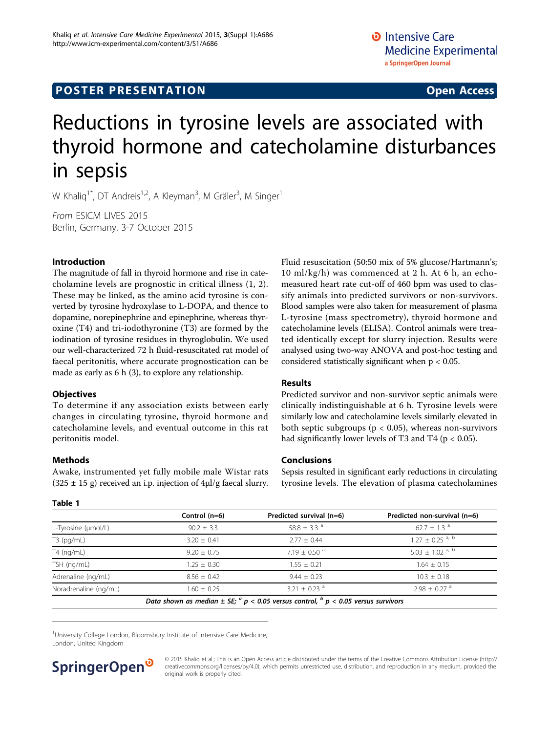## **POSTER PRESENTATION CONSUMING ACCESS**

# Reductions in tyrosine levels are associated with thyroid hormone and catecholamine disturbances in sepsis

W Khaliq<sup>1\*</sup>, DT Andreis<sup>1,2</sup>, A Kleyman<sup>3</sup>, M Gräler<sup>3</sup>, M Singer<sup>1</sup>

From ESICM LIVES 2015 Berlin, Germany. 3-7 October 2015

#### Introduction

The magnitude of fall in thyroid hormone and rise in catecholamine levels are prognostic in critical illness (1, 2). These may be linked, as the amino acid tyrosine is converted by tyrosine hydroxylase to L-DOPA, and thence to dopamine, norepinephrine and epinephrine, whereas thyroxine (T4) and tri-iodothyronine (T3) are formed by the iodination of tyrosine residues in thyroglobulin. We used our well-characterized 72 h fluid-resuscitated rat model of faecal peritonitis, where accurate prognostication can be made as early as 6 h (3), to explore any relationship.

#### **Objectives**

To determine if any association exists between early changes in circulating tyrosine, thyroid hormone and catecholamine levels, and eventual outcome in this rat peritonitis model.

## Methods

Awake, instrumented yet fully mobile male Wistar rats  $(325 \pm 15 \text{ g})$  received an i.p. injection of  $4\mu$ l/g faecal slurry. Fluid resuscitation (50:50 mix of 5% glucose/Hartmann's; 10 ml/kg/h) was commenced at 2 h. At 6 h, an echomeasured heart rate cut-off of 460 bpm was used to classify animals into predicted survivors or non-survivors. Blood samples were also taken for measurement of plasma L-tyrosine (mass spectrometry), thyroid hormone and catecholamine levels (ELISA). Control animals were treated identically except for slurry injection. Results were analysed using two-way ANOVA and post-hoc testing and considered statistically significant when  $p < 0.05$ .

## Results

Predicted survivor and non-survivor septic animals were clinically indistinguishable at 6 h. Tyrosine levels were similarly low and catecholamine levels similarly elevated in both septic subgroups ( $p < 0.05$ ), whereas non-survivors had significantly lower levels of T3 and T4 ( $p < 0.05$ ).

#### Conclusions

Sepsis resulted in significant early reductions in circulating tyrosine levels. The elevation of plasma catecholamines

|                       | Control $(n=6)$ | Predicted survival (n=6)                                                                    | Predicted non-survival (n=6)    |
|-----------------------|-----------------|---------------------------------------------------------------------------------------------|---------------------------------|
| L-Tyrosine (µmol/L)   | $90.2 \pm 3.3$  | 58.8 $\pm$ 3.3 $^{\circ}$                                                                   | $62.7 + 1.3$ <sup>a</sup>       |
| $T3$ (pg/mL)          | $3.20 + 0.41$   | $2.77 + 0.44$                                                                               | $1.27 + 0.25$ <sup>a, b</sup>   |
| T4 (ng/mL)            | $9.20 + 0.75$   | $7.19 + 0.50$ <sup>a</sup>                                                                  | $5.03 \pm 1.02$ <sup>a, b</sup> |
| TSH (ng/mL)           | $1.25 \pm 0.30$ | $1.55 + 0.21$                                                                               | $1.64 \pm 0.15$                 |
| Adrenaline (ng/mL)    | $8.56 + 0.42$   | $9.44 \pm 0.23$                                                                             | $10.3 \pm 0.18$                 |
| Noradrenaline (ng/mL) | $1.60 \pm 0.25$ | $3.21 + 0.23$ <sup>a</sup>                                                                  | $2.98 + 0.27$ <sup>a</sup>      |
|                       |                 | Data shown as median $\pm$ SE; $^a$ p < 0.05 versus control, $^b$ p < 0.05 versus survivors |                                 |

<sup>1</sup>University College London, Bloomsbury Institute of Intensive Care Medicine, London, United Kingdom



© 2015 Khaliq et al.; This is an Open Access article distributed under the terms of the Creative Commons Attribution License [\(http://](http://creativecommons.org/licenses/by/4.0) [creativecommons.org/licenses/by/4.0](http://creativecommons.org/licenses/by/4.0)), which permits unrestricted use, distribution, and reproduction in any medium, provided the original work is properly cited.

## Table 1